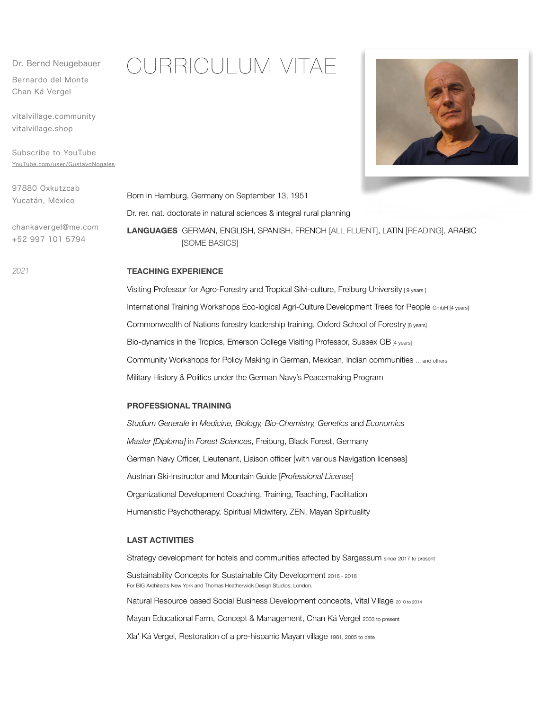Dr. Bernd Neugebauer

Bernardo del Monte Chan Ká Vergel

vitalvillage.community vitalvillage.shop

Subscribe to YouTube [YouTube.com/user/GustavoNogales](http://YouTube.com/user/GustavoNogales)

97880 Oxkutzcab Yucatán, México

chankavergel@me.com +52 997 101 5794

CURRICULUM VITAE



Born in Hamburg, Germany on September 13, 1951 Dr. rer. nat. doctorate in natural sciences & integral rural planning **LANGUAGES** GERMAN, ENGLISH, SPANISH, FRENCH [ALL FLUENT], LATIN [READING], ARABIC [SOME BASICS]

# **TEACHING EXPERIENCE**

Visiting Professor for Agro-Forestry and Tropical Silvi-culture, Freiburg University [9 years] International Training Workshops Eco-logical Agri-Culture Development Trees for People GmbH [4 years] Commonwealth of Nations forestry leadership training, Oxford School of Forestry [8 years] Bio-dynamics in the Tropics, Emerson College Visiting Professor, Sussex GB [4 years] Community Workshops for Policy Making in German, Mexican, Indian communities … and others Military History & Politics under the German Navy's Peacemaking Program

## **PROFESSIONAL TRAINING**

*Studium Generale* in *Medicine, Biology, Bio-Chemistry, Genetics* and *Economics Master [Diploma]* in *Forest Sciences*, Freiburg, Black Forest, Germany German Navy Officer, Lieutenant, Liaison officer [with various Navigation licenses] Austrian Ski-Instructor and Mountain Guide [*Professional License*] Organizational Development Coaching, Training, Teaching, Facilitation Humanistic Psychotherapy, Spiritual Midwifery, ZEN, Mayan Spirituality

### **LAST ACTIVITIES**

Strategy development for hotels and communities affected by Sargassum since 2017 to present Sustainability Concepts for Sustainable City Development 2016 - 2018 For BIG Architects New York and Thomas Heatherwick Design Studios, London. Natural Resource based Social Business Development concepts, Vital Village 2010 to 2014 Mayan Educational Farm, Concept & Management, Chan Ká Vergel 2003 to present Xla' Ká Vergel, Restoration of a pre-hispanic Mayan village 1981, 2005 to date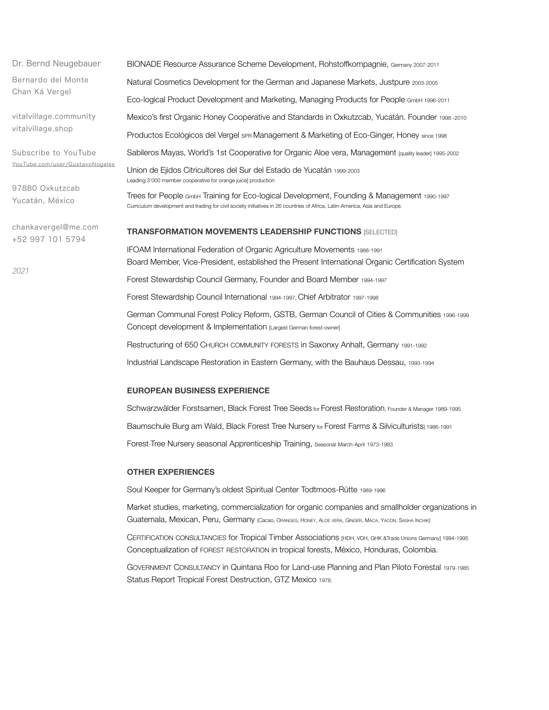Dr. Bernd Neugebauer Bernardo del Monte Chan Ká Vergel vitalvillage.community vitalvillage.shop Subscribe to YouTube [YouTube.com/user/GustavoNogales](http://YouTube.com/user/GustavoNogales) 97880 Oxkutzcab Yucatán, México chankavergel@me.com +52 997 101 5794 BIONADE Resource Assurance Scheme Development, Rohstoffkompagnie, Germany 2007-2011 Natural Cosmetics Development for the German and Japanese Markets, Justpure 2003-2005 Eco-logical Product Development and Marketing, Managing Products for People GmbH 1996-2011 Mexico's first Organic Honey Cooperative and Standards in Oxkutzcab, Yucatán. Founder 1998 -2010 Productos Ecológicos del Vergel sPR Management & Marketing of Eco-Ginger, Honey since 1998 Sabileros Mayas, World's 1st Cooperative for Organic Aloe vera, Management [quality leader] 1995-2002 Union de Ejidos Citricultores del Sur del Estado de Yucatán 1999-2003 Leading 3'000 member cooperative for orange juice] production Trees for People GmbH Training for Eco-logical Development, Founding & Management 1990-1997 Curriculum development and trading for civil society initiatives in 26 countries of Africa, Latin-America, Asia and Europe. **TRANSFORMATION MOVEMENTS LEADERSHIP FUNCTIONS** [SELECTED] IFOAM International Federation of Organic Agriculture Movements 1988-1991 Board Member, Vice-President, established the Present International Organic Certification System Forest Stewardship Council Germany, Founder and Board Member 1994-1997 Forest Stewardship Council International 1994-1997, Chief Arbitrator 1997-1998 German Communal Forest Policy Reform, GSTB, German Council of Cities & Communities 1996-1999 Concept development & Implementation [Largest German forest-owner] Restructuring of 650 CHURCH COMMUNITY FORESTS in Saxonxy Anhalt, Germany 1991-1992

Industrial Landscape Restoration in Eastern Germany, with the Bauhaus Dessau, 1993-1994

# **EUROPEAN BUSINESS EXPERIENCE**

Schwarzwälder Forstsamen, Black Forest Tree Seeds for Forest Restoration, Founder & Manager 1989-1995 Baumschule Burg am Wald, Black Forest Tree Nursery for Forest Farms & Silviculturists<sub>1</sub> 1986-1991 Forest-Tree Nursery seasonal Apprenticeship Training, Seasonal March-April 1973-1983

#### **OTHER EXPERIENCES**

Soul Keeper for Germany's oldest Spiritual Center Todtmoos-Rütte 1989-1996

Market studies, marketing, commercialization for organic companies and smallholder organizations in Guatemala, Mexican, Peru, Germany (Cacao, ORANGES, HONEY, ALOE VERA, GINGER, MACA, YACON, SASHA INCHIK)

CERTIFICATION CONSULTANCIES for Tropical Timber Associations [HDH, VDH, GHK &Trade Unions Germany] 1994-1995 Conceptualization of FOREST RESTORATION in tropical forests, México, Honduras, Colombia.

GOVERNMENT CONSULTANCY in Quintana Roo for Land-use Planning and Plan Piloto Forestal 1979-1985 Status Report Tropical Forest Destruction, GTZ Mexico 1978.

*2021*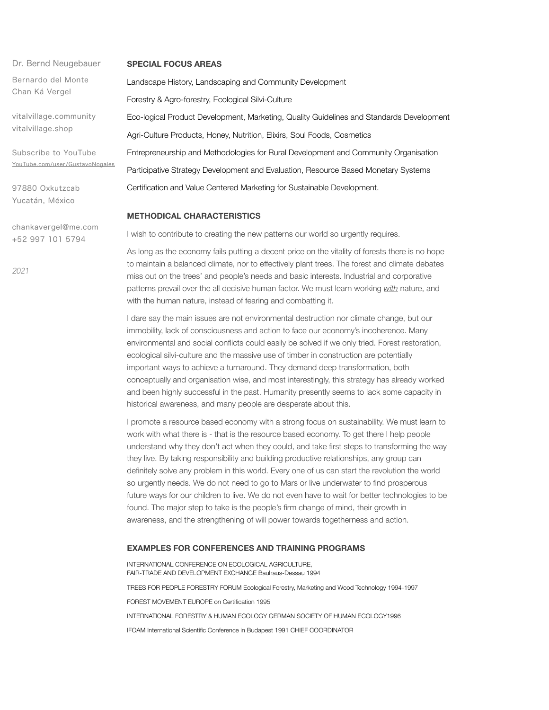Dr. Bernd Neugebauer Bernardo del Monte Chan Ká Vergel

vitalvillage.community vitalvillage.shop

Subscribe to YouTube [YouTube.com/user/GustavoNogales](http://YouTube.com/user/GustavoNogales)

97880 Oxkutzcab Yucatán, México

chankavergel@me.com +52 997 101 5794

*2021*

#### **SPECIAL FOCUS AREAS**

Landscape History, Landscaping and Community Development Forestry & Agro-forestry, Ecological Silvi-Culture Eco-logical Product Development, Marketing, Quality Guidelines and Standards Development Agri-Culture Products, Honey, Nutrition, Elixirs, Soul Foods, Cosmetics Entrepreneurship and Methodologies for Rural Development and Community Organisation Participative Strategy Development and Evaluation, Resource Based Monetary Systems Certification and Value Centered Marketing for Sustainable Development.

# **METHODICAL CHARACTERISTICS**

I wish to contribute to creating the new patterns our world so urgently requires.

As long as the economy fails putting a decent price on the vitality of forests there is no hope to maintain a balanced climate, nor to effectively plant trees. The forest and climate debates miss out on the trees' and people's needs and basic interests. Industrial and corporative patterns prevail over the all decisive human factor. We must learn working *with* nature, and with the human nature, instead of fearing and combatting it.

I dare say the main issues are not environmental destruction nor climate change, but our immobility, lack of consciousness and action to face our economy's incoherence. Many environmental and social conflicts could easily be solved if we only tried. Forest restoration, ecological silvi-culture and the massive use of timber in construction are potentially important ways to achieve a turnaround. They demand deep transformation, both conceptually and organisation wise, and most interestingly, this strategy has already worked and been highly successful in the past. Humanity presently seems to lack some capacity in historical awareness, and many people are desperate about this.

I promote a resource based economy with a strong focus on sustainability. We must learn to work with what there is - that is the resource based economy. To get there I help people understand why they don't act when they could, and take first steps to transforming the way they live. By taking responsibility and building productive relationships, any group can definitely solve any problem in this world. Every one of us can start the revolution the world so urgently needs. We do not need to go to Mars or live underwater to find prosperous future ways for our children to live. We do not even have to wait for better technologies to be found. The major step to take is the people's firm change of mind, their growth in awareness, and the strengthening of will power towards togetherness and action.

## **EXAMPLES FOR CONFERENCES AND TRAINING PROGRAMS**

INTERNATIONAL CONFERENCE ON ECOLOGICAL AGRICULTURE, FAIR-TRADE AND DEVELOPMENT EXCHANGE Bauhaus-Dessau 1994 TREES FOR PEOPLE FORESTRY FORUM Ecological Forestry, Marketing and Wood Technology 1994-1997 FOREST MOVEMENT EUROPE on Certification 1995 INTERNATIONAL FORESTRY & HUMAN ECOLOGY GERMAN SOCIETY OF HUMAN ECOLOGY1996 IFOAM International Scientific Conference in Budapest 1991 CHIEF COORDINATOR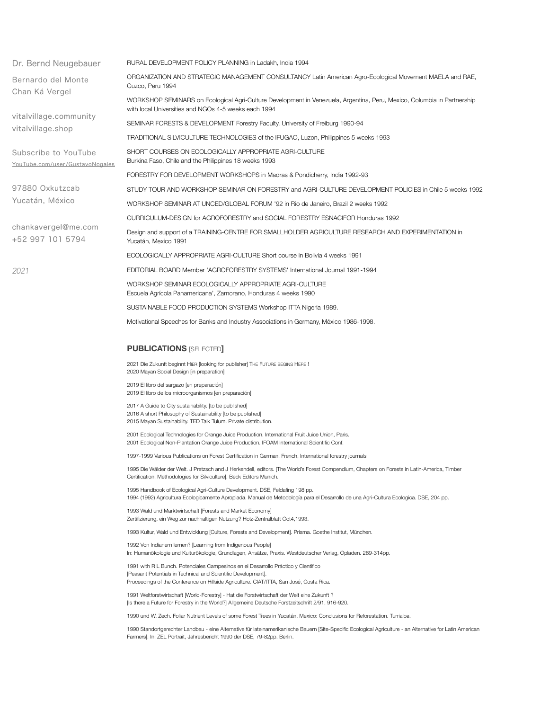| Dr. Bernd Neugebauer                                    | RURAL DEVELOPMENT POLICY PLANNING in Ladakh, India 1994                                                                                                                                                                                        |
|---------------------------------------------------------|------------------------------------------------------------------------------------------------------------------------------------------------------------------------------------------------------------------------------------------------|
| Bernardo del Monte<br>Chan Ká Vergel                    | ORGANIZATION AND STRATEGIC MANAGEMENT CONSULTANCY Latin American Agro-Ecological Movement MAELA and RAE,<br>Cuzco, Peru 1994                                                                                                                   |
|                                                         | WORKSHOP SEMINARS on Ecological Agri-Culture Development in Venezuela, Argentina, Peru, Mexico, Columbia in Partnership<br>with local Universities and NGOs 4-5 weeks each 1994                                                                |
| vitalvillage.community<br>vitalvillage.shop             | SEMINAR FORESTS & DEVELOPMENT Forestry Faculty, University of Freiburg 1990-94                                                                                                                                                                 |
|                                                         | TRADITIONAL SILVICULTURE TECHNOLOGIES of the IFUGAO, Luzon, Philippines 5 weeks 1993                                                                                                                                                           |
| Subscribe to YouTube<br>YouTube.com/user/GustavoNogales | SHORT COURSES ON ECOLOGICALLY APPROPRIATE AGRI-CULTURE<br>Burkina Faso, Chile and the Philippines 18 weeks 1993                                                                                                                                |
|                                                         | FORESTRY FOR DEVELOPMENT WORKSHOPS in Madras & Pondicherry, India 1992-93                                                                                                                                                                      |
| 97880 Oxkutzcab                                         | STUDY TOUR AND WORKSHOP SEMINAR ON FORESTRY and AGRI-CULTURE DEVELOPMENT POLICIES in Chile 5 weeks 1992                                                                                                                                        |
| Yucatán, México                                         | WORKSHOP SEMINAR AT UNCED/GLOBAL FORUM '92 in Rio de Janeiro, Brazil 2 weeks 1992                                                                                                                                                              |
|                                                         | CURRICULUM-DESIGN for AGROFORESTRY and SOCIAL FORESTRY ESNACIFOR Honduras 1992                                                                                                                                                                 |
| chankavergel@me.com<br>+52 997 101 5794                 | Design and support of a TRAINING-CENTRE FOR SMALLHOLDER AGRICULTURE RESEARCH AND EXPERIMENTATION in<br>Yucatán, Mexico 1991                                                                                                                    |
|                                                         | ECOLOGICALLY APPROPRIATE AGRI-CULTURE Short course in Bolivia 4 weeks 1991                                                                                                                                                                     |
| 2021                                                    | EDITORIAL BOARD Member 'AGROFORESTRY SYSTEMS' International Journal 1991-1994                                                                                                                                                                  |
|                                                         | WORKSHOP SEMINAR ECOLOGICALLY APPROPRIATE AGRI-CULTURE<br>Escuela Agrícola Panamericana', Zamorano, Honduras 4 weeks 1990                                                                                                                      |
|                                                         | SUSTAINABLE FOOD PRODUCTION SYSTEMS Workshop ITTA Nigeria 1989.                                                                                                                                                                                |
|                                                         | Motivational Speeches for Banks and Industry Associations in Germany, México 1986-1998.                                                                                                                                                        |
|                                                         | <b>PUBLICATIONS [SELECTED]</b>                                                                                                                                                                                                                 |
|                                                         | 2021 Die Zukunft beginnt HIER [looking for publisher] THE FUTURE BEGINS HERE !<br>2020 Mayan Social Design [in preparation]                                                                                                                    |
|                                                         | 2019 El libro del sargazo [en preparación]<br>2019 El libro de los microorganismos [en preparación]                                                                                                                                            |
|                                                         | 2017 A Guide to City sustainability. [to be published]<br>2016 A short Philosophy of Sustainability [to be published]<br>2015 Mayan Sustainability. TED Talk Tulum. Private distribution.                                                      |
|                                                         | 2001 Ecological Technologies for Orange Juice Production. International Fruit Juice Union, Paris.<br>2001 Ecological Non-Plantation Orange Juice Production. IFOAM International Scientific Conf.                                              |
|                                                         | 1997-1999 Various Publications on Forest Certification in German, French, International forestry journals                                                                                                                                      |
|                                                         | 1995 Die Wälder der Welt. J Pretzsch and J Herkendell, editors. [The World's Forest Compendium, Chapters on Forests in Latin-America, Timber<br>Certification, Methodologies for Silviculture]. Beck Editors Munich.                           |
|                                                         | 1995 Handbook of Ecological Agri-Culture Development. DSE, Feldafing 198 pp.<br>1994 (1992) Agricultura Ecologicamente Apropiada. Manual de Metodología para el Desarrollo de una Agri-Cultura Ecologica. DSE, 204 pp.                         |
|                                                         | 1993 Wald und Marktwirtschaft [Forests and Market Economy]<br>Zertifizierung, ein Weg zur nachhaltigen Nutzung? Holz-Zentralblatt Oct4,1993.                                                                                                   |
|                                                         | 1993 Kultur, Wald und Entwicklung [Culture, Forests and Development]. Prisma. Goethe Institut, München.                                                                                                                                        |
|                                                         | 1992 Von Indianern lernen? [Learning from Indigenous People]<br>In: Humanökologie und Kulturökologie, Grundlagen, Ansätze, Praxis. Westdeutscher Verlag, Opladen. 289-314pp.                                                                   |
|                                                         | 1991 with R L Bunch. Potenciales Campesinos en el Desarrollo Práctico y Científico<br>[Peasant Potentials in Technical and Scientific Development].<br>Proceedings of the Conference on Hillside Agriculture. CIAT/ITTA, San José, Costa Rica. |
|                                                         |                                                                                                                                                                                                                                                |

1991 Weltforstwirtschaft [World-Forestry] - Hat die Forstwirtschaft der Welt eine Zukunft ? [Is there a Future for Forestry in the World?] Allgemeine Deutsche Forstzeitschrift 2/91, 916-920.

1990 und W. Zech. Foliar Nutrient Levels of some Forest Trees in Yucatán, Mexico: Conclusions for Reforestation. Turrialba.

1990 Standortgerechter Landbau - eine Alternative für lateinamerikanische Bauern [Site-Specific Ecological Agriculture - an Alternative for Latin American Farmers]. In: ZEL Portrait, Jahresbericht 1990 der DSE, 79-82pp. Berlin.